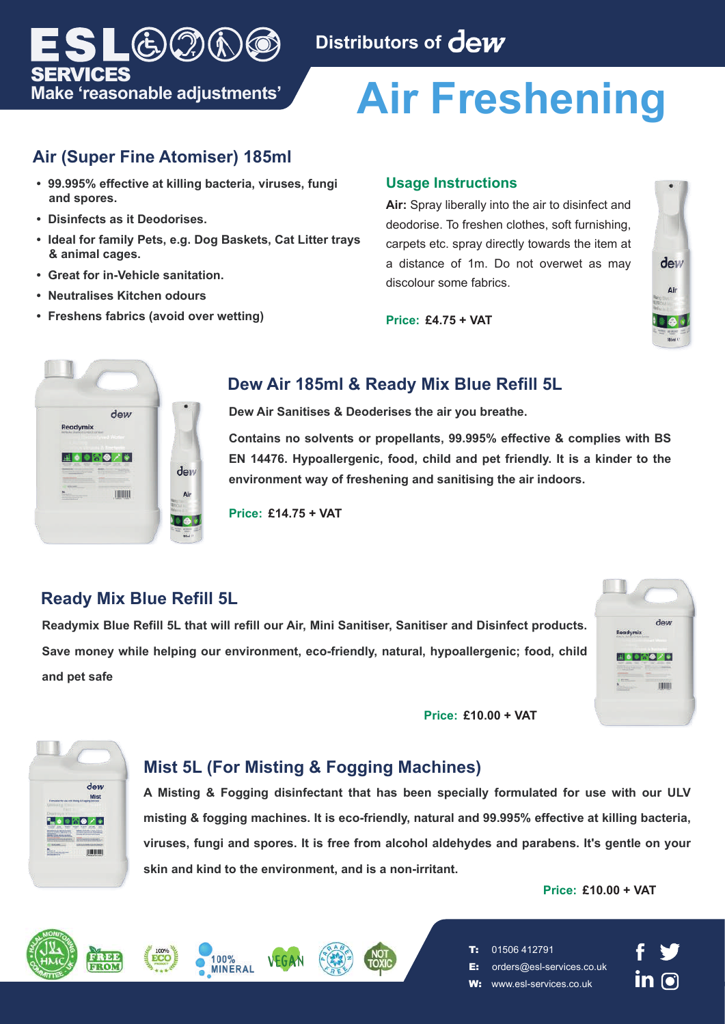

# **Air Freshening**

# **Air (Super Fine Atomiser) 185ml**

**Make 'reasonable adjustments'**

 $\Gamma(\epsilon)$  ( ) ( )

- **99.995% effective at killing bacteria, viruses, fungi and spores.**
- **Disinfects as it Deodorises.**

SERVICES

- **Ideal for family Pets, e.g. Dog Baskets, Cat Litter trays & animal cages.**
- **Great for in-Vehicle sanitation.**
- **Neutralises Kitchen odours**
- **Freshens fabrics (avoid over wetting)**

#### **Usage Instructions**

**Air:** Spray liberally into the air to disinfect and deodorise. To freshen clothes, soft furnishing, carpets etc. spray directly towards the item at a distance of 1m. Do not overwet as may discolour some fabrics.





#### **Price: £4.75 + VAT**

# **Dew Air 185ml & Ready Mix Blue Refill 5L**

**Dew Air Sanitises & Deoderises the air you breathe.**

**Contains no solvents or propellants, 99.995% effective & complies with BS EN 14476. Hypoallergenic, food, child and pet friendly. It is a kinder to the environment way of freshening and sanitising the air indoors.** 

**Price: £14.75 + VAT**

# **Ready Mix Blue Refill 5L**

**Readymix Blue Refill 5L that will refill our Air, Mini Sanitiser, Sanitiser and Disinfect products. Save money while helping our environment, eco-friendly, natural, hypoallergenic; food, child and pet safe**

**Price: £10.00 + VAT**





# **Mist 5L (For Misting & Fogging Machines)**

**A Misting & Fogging disinfectant that has been specially formulated for use with our ULV misting & fogging machines. It is eco-friendly, natural and 99.995% effective at killing bacteria, viruses, fungi and spores. It is free from alcohol aldehydes and parabens. It's gentle on your skin and kind to the environment, and is a non-irritant.**

#### **Price: £10.00 + VAT**





**MINERAL** 





- E: orders@esl-services.co.uk
- W: www.esl-services.co.uk

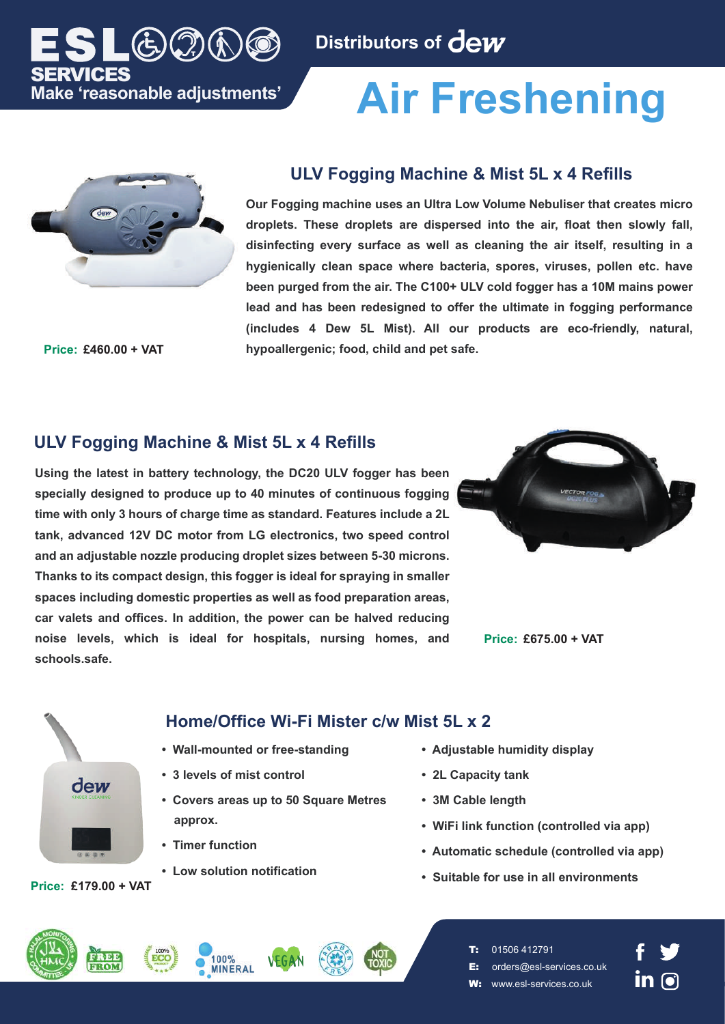

# **Air Freshening**



**Make 'reasonable adjustments'**

 $(\dot{\xi})$  $(\dot{\gamma})$ 

SERVICES

### **ULV Fogging Machine & Mist 5L x 4 Refills**

**Our Fogging machine uses an Ultra Low Volume Nebuliser that creates micro droplets. These droplets are dispersed into the air, float then slowly fall, disinfecting every surface as well as cleaning the air itself, resulting in a hygienically clean space where bacteria, spores, viruses, pollen etc. have been purged from the air. The C100+ ULV cold fogger has a 10M mains power lead and has been redesigned to offer the ultimate in fogging performance (includes 4 Dew 5L Mist). All our products are eco-friendly, natural, Price: £460.00 + VAT hypoallergenic; food, child and pet safe.**

# **ULV Fogging Machine & Mist 5L x 4 Refills**

**Using the latest in battery technology, the DC20 ULV fogger has been specially designed to produce up to 40 minutes of continuous fogging time with only 3 hours of charge time as standard. Features include a 2L tank, advanced 12V DC motor from LG electronics, two speed control and an adjustable nozzle producing droplet sizes between 5-30 microns. Thanks to its compact design, this fogger is ideal for spraying in smaller spaces including domestic properties as well as food preparation areas, car valets and offices. In addition, the power can be halved reducing noise levels, which is ideal for hospitals, nursing homes, and schools.safe.**



**Price: £675.00 + VAT**



**Price: £179.00 + VAT**

# **Home/Office Wi-Fi Mister c/w Mist 5L x 2**

- **Wall-mounted or free-standing**
- **3 levels of mist control**
- **Covers areas up to 50 Square Metres approx.**
- **Timer function**
- **Low solution notification**
- **Adjustable humidity display**
- **2L Capacity tank**
- **3M Cable length**
- **WiFi link function (controlled via app)**
- **Automatic schedule (controlled via app)**
- **Suitable for use in all environments**









- T: 01506 412791
- E: orders@esl-services.co.uk
- www.esl-services.co.uk

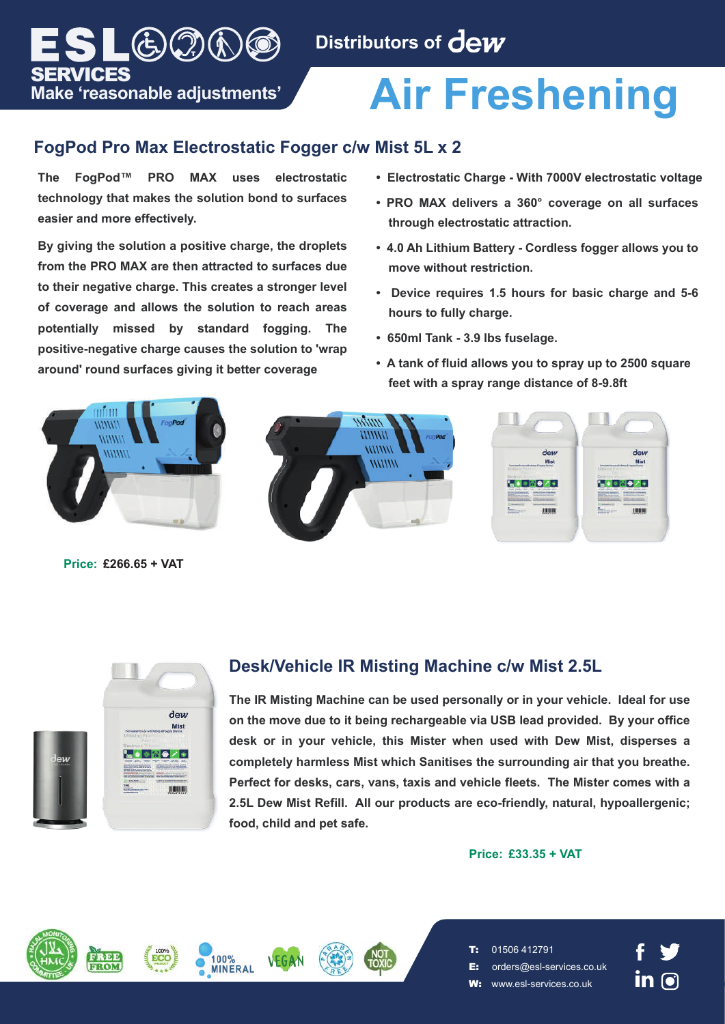# **Air Freshening**

# **FogPod Pro Max Electrostatic Fogger c/w Mist 5L x 2**

**The FogPod™ PRO MAX uses electrostatic technology that makes the solution bond to surfaces easier and more effectively.**

 $_{\text{L}}\text{G}(\mathfrak{I})(\mathfrak{h})$  (c)

**Make 'reasonable adjustments'**

SERVICES

**By giving the solution a positive charge, the droplets from the PRO MAX are then attracted to surfaces due to their negative charge. This creates a stronger level of coverage and allows the solution to reach areas potentially missed by standard fogging. The positive-negative charge causes the solution to 'wrap around' round surfaces giving it better coverage**

- **Electrostatic Charge With 7000V electrostatic voltage**
- **PRO MAX delivers a 360° coverage on all surfaces through electrostatic attraction.**
- **4.0 Ah Lithium Battery Cordless fogger allows you to move without restriction.**
- **Device requires 1.5 hours for basic charge and 5-6 hours to fully charge.**
- **650ml Tank 3.9 lbs fuselage.**
- **A tank of fluid allows you to spray up to 2500 square feet with a spray range distance of 8-9.8ft**



**Price: £266.65 + VAT**



# **Desk/Vehicle IR Misting Machine c/w Mist 2.5L**

**The IR Misting Machine can be used personally or in your vehicle. Ideal for use on the move due to it being rechargeable via USB lead provided. By your office desk or in your vehicle, this Mister when used with Dew Mist, disperses a completely harmless Mist which Sanitises the surrounding air that you breathe. Perfect for desks, cars, vans, taxis and vehicle fleets. The Mister comes with a 2.5L Dew Mist Refill. All our products are eco-friendly, natural, hypoallergenic; food, child and pet safe.**

#### **Price: £33.35 + VAT**









- E: orders@esl-services.co.uk
- www.esl-services.co.uk

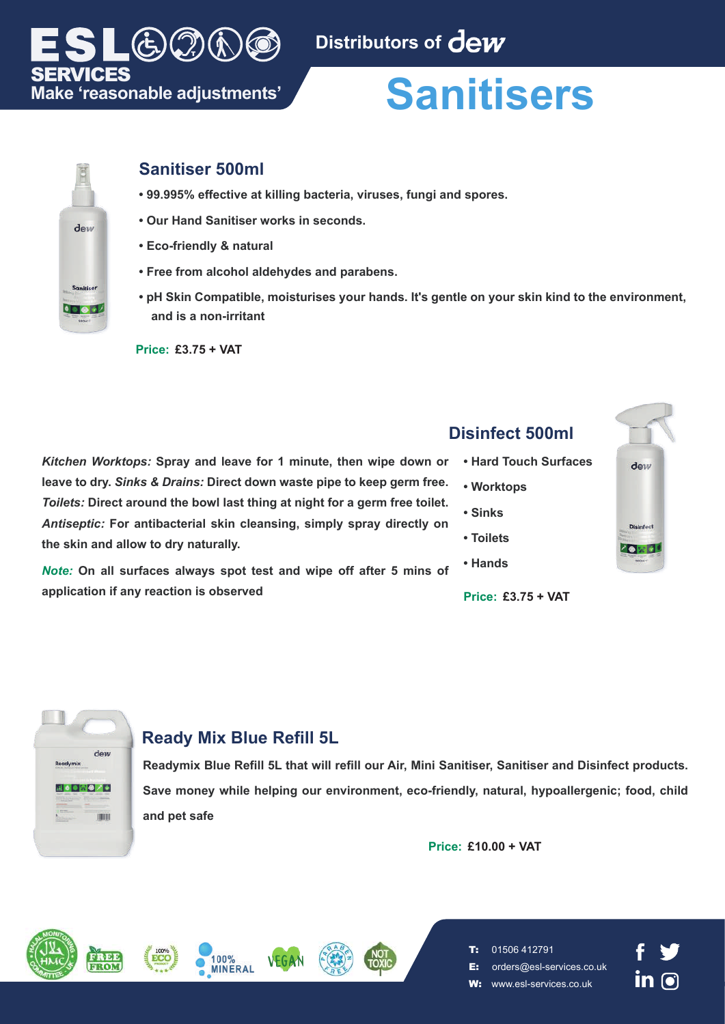

### SERVICES **Make 'reasonable adjustments'**

 $\Theta$ 

# **Sanitisers**



# **Sanitiser 500ml**

- **99.995% effective at killing bacteria, viruses, fungi and spores.**
- **Our Hand Sanitiser works in seconds.**
- **Eco-friendly & natural**
- **Free from alcohol aldehydes and parabens.**
- **pH Skin Compatible, moisturises your hands. It's gentle on your skin kind to the environment, and is a non-irritant**

**Price: £3.75 + VAT**

**• Hard Touch Surf • Worktops • Sinks • Toilets** *Kitchen Worktops:* **Spray and leave for 1 minute, then wipe down or leave to dry.** *Sinks & Drains:* **Direct down waste pipe to keep germ free.**  *Toilets:* **Direct around the bowl last thing at night for a germ free toilet.**  *Antiseptic:* **For antibacterial skin cleansing, simply spray directly on the skin and allow to dry naturally.** 

**• Hands** *Note:* **On all surfaces always spot test and wipe off after 5 mins of application if any reaction is observed Price:** £3.75 + VAT

| <b>Disinfect 500ml</b> |                       |           |
|------------------------|-----------------------|-----------|
|                        | • Hard Touch Surfaces | dew       |
|                        | • Worktops            |           |
|                        | • Sinks               |           |
|                        | • Toilets             | Disinfect |
|                        | • Hands               |           |
|                        |                       |           |

dew **Dearbumiv BI 4020/5 TOTAL** 

# **Ready Mix Blue Refill 5L**

**INFRAI** 

**Readymix Blue Refill 5L that will refill our Air, Mini Sanitiser, Sanitiser and Disinfect products. Save money while helping our environment, eco-friendly, natural, hypoallergenic; food, child and pet safe**

**Price: £10.00 + VAT**









T: 01506 412791

E: orders@esl-services.co.uk

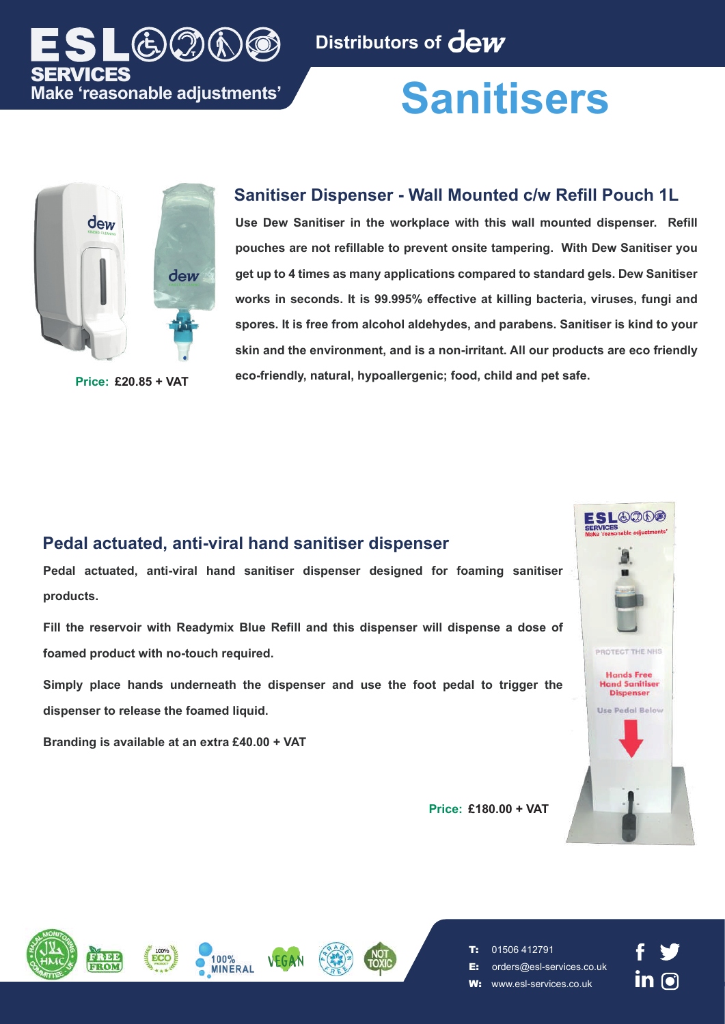

# **Sanitisers**



### **Sanitiser Dispenser - Wall Mounted c/w Refill Pouch 1L**

**Use Dew Sanitiser in the workplace with this wall mounted dispenser. Refill pouches are not refillable to prevent onsite tampering. With Dew Sanitiser you get up to 4 times as many applications compared to standard gels. Dew Sanitiser works in seconds. It is 99.995% effective at killing bacteria, viruses, fungi and spores. It is free from alcohol aldehydes, and parabens. Sanitiser is kind to your skin and the environment, and is a non-irritant. All our products are eco friendly eco-friendly, natural, hypoallergenic; food, child and pet safe. Price: £20.85 + VAT**

# **Pedal actuated, anti-viral hand sanitiser dispenser**

**Pedal actuated, anti-viral hand sanitiser dispenser designed for foaming sanitiser products.**

**Fill the reservoir with Readymix Blue Refill and this dispenser will dispense a dose of foamed product with no-touch required.**

**Simply place hands underneath the dispenser and use the foot pedal to trigger the dispenser to release the foamed liquid.**

**Branding is available at an extra £40.00 + VAT**



**Price: £180.00 + VAT**











- E: orders@esl-services.co.uk
- W: www.esl-services.co.uk